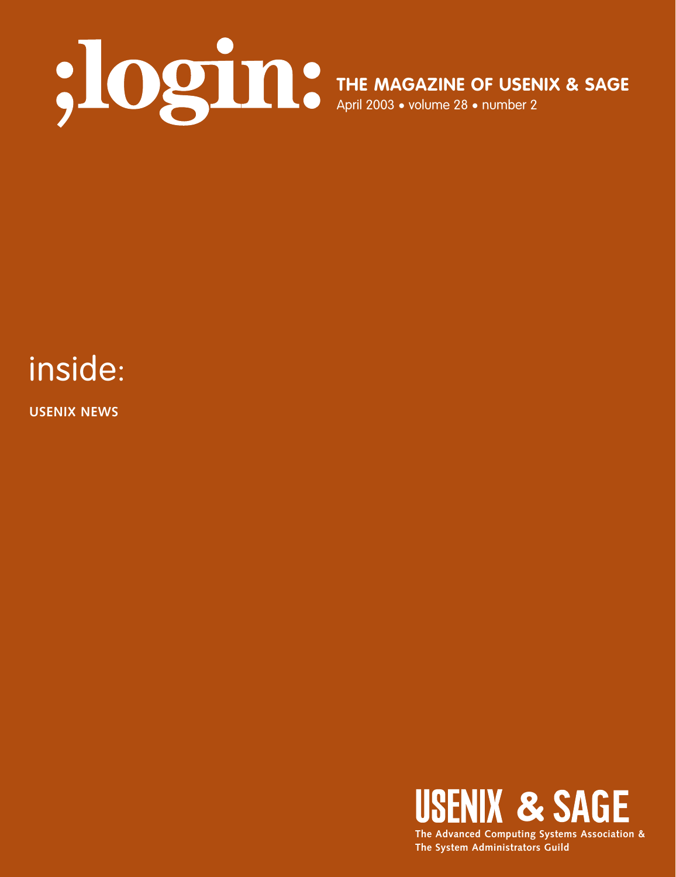

# inside:

**USENIX NEWS**

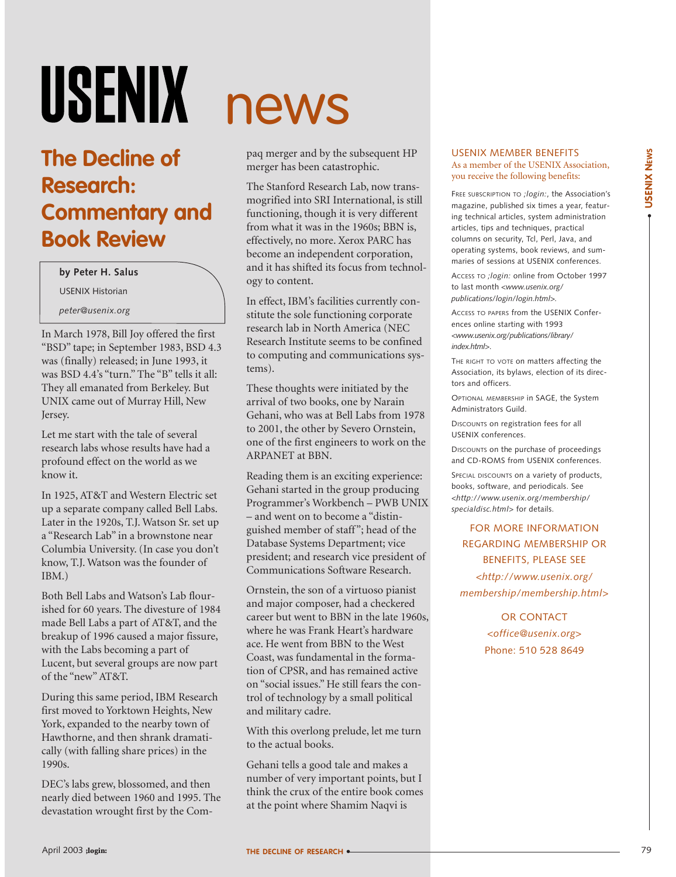# USENIX

## **The Decline of Research: Commentary and Book Review**

#### **by Peter H. Salus**

USENIX Historian

*peter@usenix.org*

In March 1978, Bill Joy offered the first "BSD" tape; in September 1983, BSD 4.3 was (finally) released; in June 1993, it was BSD 4.4's "turn." The "B" tells it all: They all emanated from Berkeley. But UNIX came out of Murray Hill, New Jersey.

Let me start with the tale of several research labs whose results have had a profound effect on the world as we know it.

In 1925, AT&T and Western Electric set up a separate company called Bell Labs. Later in the 1920s, T.J. Watson Sr. set up a "Research Lab" in a brownstone near Columbia University. (In case you don't know, T.J. Watson was the founder of IBM.)

Both Bell Labs and Watson's Lab flourished for 60 years. The divesture of 1984 made Bell Labs a part of AT&T, and the breakup of 1996 caused a major fissure, with the Labs becoming a part of Lucent, but several groups are now part of the "new" AT&T.

During this same period, IBM Research first moved to Yorktown Heights, New York, expanded to the nearby town of Hawthorne, and then shrank dramatically (with falling share prices) in the 1990s.

DEC's labs grew, blossomed, and then nearly died between 1960 and 1995. The devastation wrought first by the Com-

# news

paq merger and by the subsequent HP merger has been catastrophic.

The Stanford Research Lab, now transmogrified into SRI International, is still functioning, though it is very different from what it was in the 1960s; BBN is, effectively, no more. Xerox PARC has become an independent corporation, and it has shifted its focus from technology to content.

In effect, IBM's facilities currently constitute the sole functioning corporate research lab in North America (NEC Research Institute seems to be confined to computing and communications systems).

These thoughts were initiated by the arrival of two books, one by Narain Gehani, who was at Bell Labs from 1978 to 2001, the other by Severo Ornstein, one of the first engineers to work on the ARPANET at BBN.

Reading them is an exciting experience: Gehani started in the group producing Programmer's Workbench – PWB UNIX – and went on to become a "distinguished member of staff"; head of the Database Systems Department; vice president; and research vice president of Communications Software Research.

Ornstein, the son of a virtuoso pianist and major composer, had a checkered career but went to BBN in the late 1960s, where he was Frank Heart's hardware ace. He went from BBN to the West Coast, was fundamental in the formation of CPSR, and has remained active on "social issues." He still fears the control of technology by a small political and military cadre.

With this overlong prelude, let me turn to the actual books.

Gehani tells a good tale and makes a number of very important points, but I think the crux of the entire book comes at the point where Shamim Naqvi is

#### USENIX MEMBER BENEFITS As a member of the USENIX Association, you receive the following benefits:

FREE SUBSCRIPTION TO *;login:*, the Association's magazine, published six times a year, featuring technical articles, system administration articles, tips and techniques, practical columns on security, Tcl, Perl, Java, and operating systems, book reviews, and summaries of sessions at USENIX conferences.

ACCESS TO *;login:* online from October 1997 to last month *<www.usenix.org/ publications/login/login.html>.*

ACCESS TO PAPERS from the USENIX Conferences online starting with 1993 *<www.usenix.org/publications/library/ index.html>*.

THE RIGHT TO VOTE on matters affecting the Association, its bylaws, election of its directors and officers.

OPTIONAL MEMBERSHIP in SAGE, the System Administrators Guild.

DISCOUNTS on registration fees for all USENIX conferences.

DISCOUNTS on the purchase of proceedings and CD-ROMS from USENIX conferences.

SPECIAL DISCOUNTS on a variety of products, books, software, and periodicals. See *<http://www.usenix.org/membership/ specialdisc.html>* for details.

FOR MORE INFORMATION REGARDING MEMBERSHIP OR BENEFITS, PLEASE SEE *<http://www.usenix.org/ membership/membership.html*>

> OR CONTACT *<office@usenix.org*> Phone: 510 528 8649